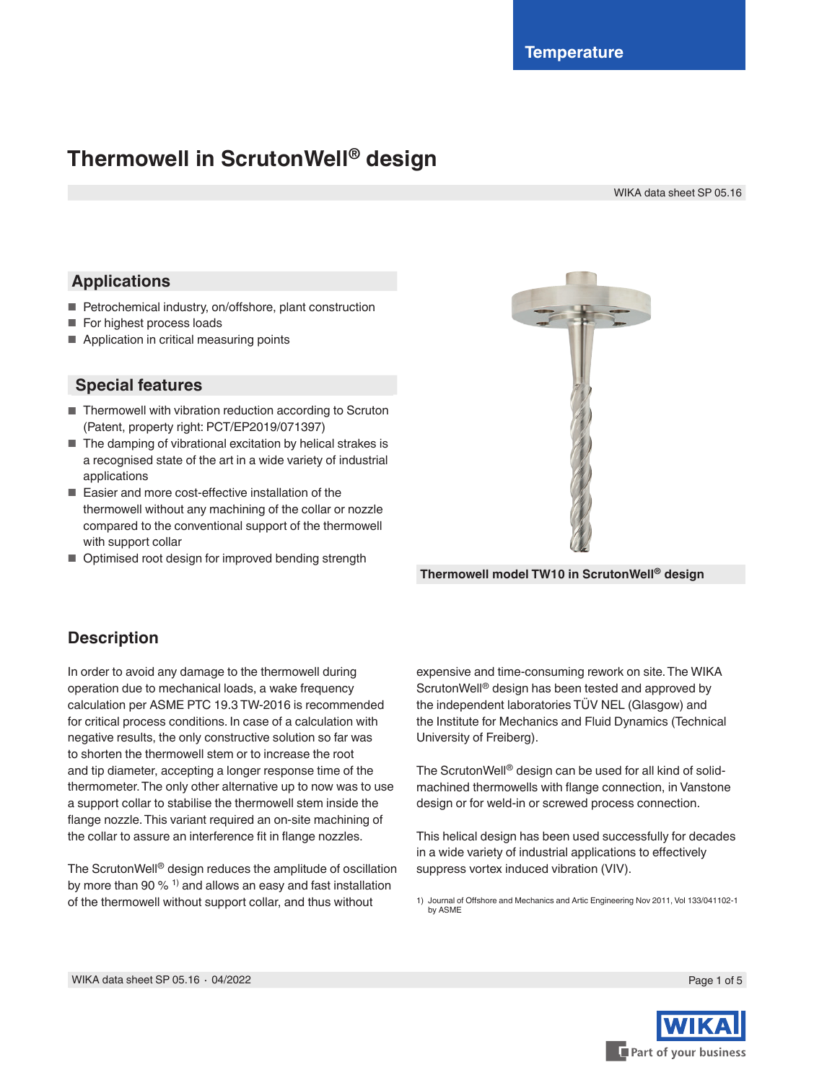# **Thermowell in ScrutonWell® design**

WIKA data sheet SP 05.16

### **Applications**

- Petrochemical industry, on/offshore, plant construction
- For highest process loads
- Application in critical measuring points

### **Special features**

- Thermowell with vibration reduction according to Scruton (Patent, property right: PCT/EP2019/071397)
- The damping of vibrational excitation by helical strakes is a recognised state of the art in a wide variety of industrial applications
- Easier and more cost-effective installation of the thermowell without any machining of the collar or nozzle compared to the conventional support of the thermowell with support collar
- Optimised root design for improved bending strength



**Thermowell model TW10 in ScrutonWell® design**

### **Description**

In order to avoid any damage to the thermowell during operation due to mechanical loads, a wake frequency calculation per ASME PTC 19.3 TW-2016 is recommended for critical process conditions. In case of a calculation with negative results, the only constructive solution so far was to shorten the thermowell stem or to increase the root and tip diameter, accepting a longer response time of the thermometer. The only other alternative up to now was to use a support collar to stabilise the thermowell stem inside the flange nozzle. This variant required an on-site machining of the collar to assure an interference fit in flange nozzles.

The ScrutonWell® design reduces the amplitude of oscillation by more than 90  $%$ <sup>1)</sup> and allows an easy and fast installation of the thermowell without support collar, and thus without

expensive and time-consuming rework on site. The WIKA ScrutonWell® design has been tested and approved by the independent laboratories TÜV NEL (Glasgow) and the Institute for Mechanics and Fluid Dynamics (Technical University of Freiberg).

The ScrutonWell® design can be used for all kind of solidmachined thermowells with flange connection, in Vanstone design or for weld-in or screwed process connection.

This helical design has been used successfully for decades in a wide variety of industrial applications to effectively suppress vortex induced vibration (VIV).

1) Journal of Offshore and Mechanics and Artic Engineering Nov 2011, Vol 133/041102-1 by ASME

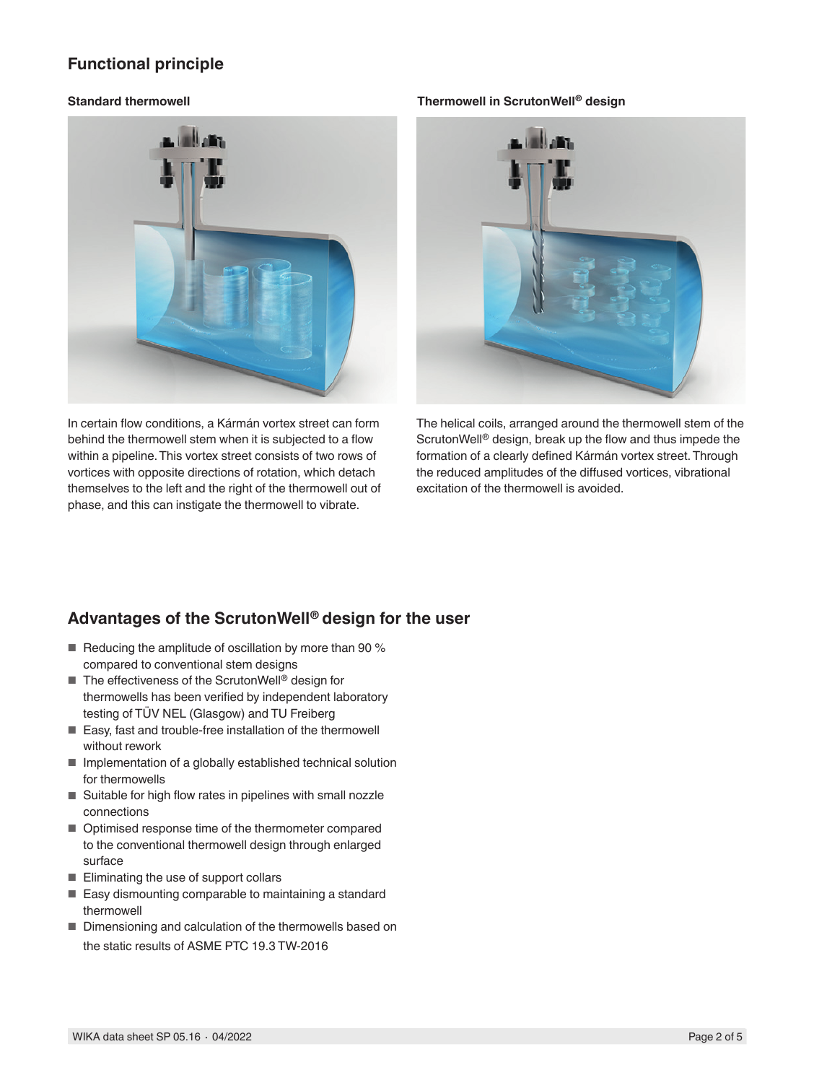### **Functional principle**



In certain flow conditions, a Kármán vortex street can form behind the thermowell stem when it is subjected to a flow within a pipeline. This vortex street consists of two rows of vortices with opposite directions of rotation, which detach themselves to the left and the right of the thermowell out of phase, and this can instigate the thermowell to vibrate.

#### **Standard thermowell Thermowell in ScrutonWell® design**



The helical coils, arranged around the thermowell stem of the ScrutonWell® design, break up the flow and thus impede the formation of a clearly defined Kármán vortex street. Through the reduced amplitudes of the diffused vortices, vibrational excitation of the thermowell is avoided.

### **Advantages of the ScrutonWell® design for the user**

- Reducing the amplitude of oscillation by more than 90 % compared to conventional stem designs
- The effectiveness of the ScrutonWell<sup>®</sup> design for thermowells has been verified by independent laboratory testing of TÜV NEL (Glasgow) and TU Freiberg
- Easy, fast and trouble-free installation of the thermowell without rework
- Implementation of a globally established technical solution for thermowells
- Suitable for high flow rates in pipelines with small nozzle connections
- Optimised response time of the thermometer compared to the conventional thermowell design through enlarged surface
- Eliminating the use of support collars
- Easy dismounting comparable to maintaining a standard thermowell
- Dimensioning and calculation of the thermowells based on the static results of ASME PTC 19.3 TW-2016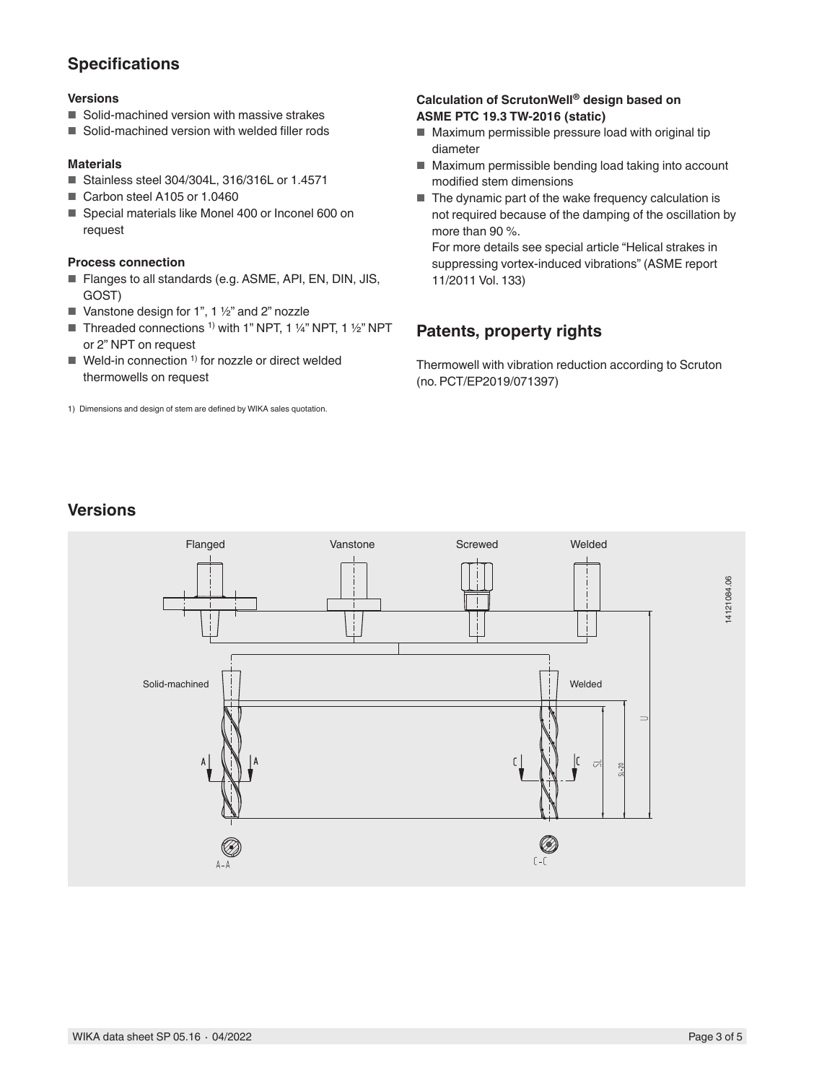### **Specifications**

#### **Versions**

- Solid-machined version with massive strakes
- Solid-machined version with welded filler rods

#### **Materials**

- Stainless steel 304/304L, 316/316L or 1.4571
- Carbon steel A105 or 1.0460
- Special materials like Monel 400 or Inconel 600 on request

#### **Process connection**

- Flanges to all standards (e.g. ASME, API, EN, DIN, JIS, GOST)
- Vanstone design for 1", 1 ½" and 2" nozzle
- Threaded connections <sup>1)</sup> with 1" NPT, 1 ¼" NPT, 1 ½" NPT or 2" NPT on request
- $\blacksquare$  Weld-in connection <sup>1)</sup> for nozzle or direct welded thermowells on request
- 1) Dimensions and design of stem are defined by WIKA sales quotation.

#### **Calculation of ScrutonWell® design based on ASME PTC 19.3 TW-2016 (static)**

- Maximum permissible pressure load with original tip diameter
- Maximum permissible bending load taking into account modified stem dimensions
- The dynamic part of the wake frequency calculation is not required because of the damping of the oscillation by more than 90 %.

For more details see special article "Helical strakes in suppressing vortex-induced vibrations" (ASME report 11/2011 Vol. 133)

## **Patents, property rights**

Thermowell with vibration reduction according to Scruton (no. PCT/EP2019/071397)

## **Versions**

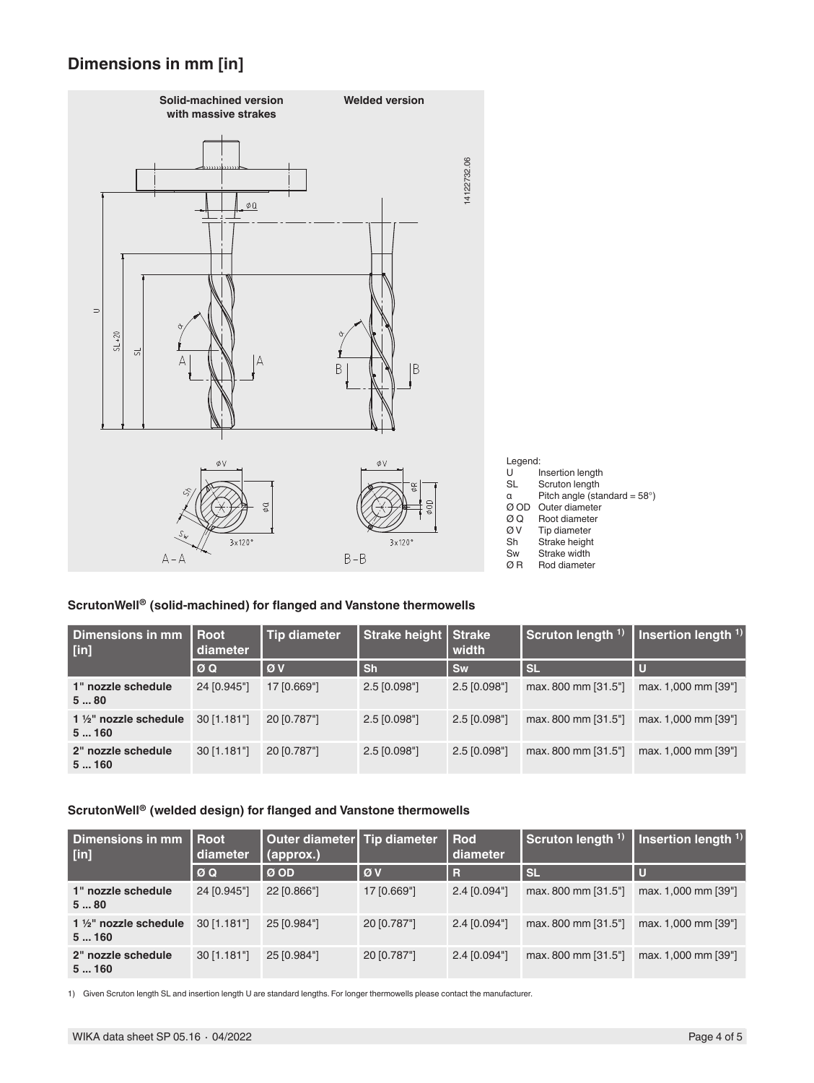### **Dimensions in mm [in]**



#### **ScrutonWell® (solid-machined) for flanged and Vanstone thermowells**

| Dimensions in mm<br>$[$ in]    | l Root<br>diameter | Tip diameter | Strake height   Strake | width          | Scruton length <sup>1)</sup> | Insertion length $1$ ) |
|--------------------------------|--------------------|--------------|------------------------|----------------|------------------------------|------------------------|
|                                | ØQ                 | l ø v        | <b>Sh</b>              | Sw             | <b>SL</b>                    | Ю                      |
| 1" nozzle schedule<br>580      | 24 [0.945"]        | 17 [0.669"]  | $2.5$ [0.098"]         | $2.5$ [0.098"] | max. 800 mm [31.5"]          | max. 1,000 mm [39"]    |
| 1 1/2" nozzle schedule<br>5160 | $30$ [1.181"]      | 20 [0.787"]  | $2.5$ [0.098"]         | $2.5$ [0.098"] | max. 800 mm [31.5"]          | max. 1,000 mm [39"]    |
| 2" nozzle schedule<br>5160     | $30$ [1.181"]      | 20 [0.787"]  | $2.5$ [0.098"]         | $2.5$ [0.098"] | max. 800 mm [31.5"]          | max. 1,000 mm [39"]    |

### **ScrutonWell® (welded design) for flanged and Vanstone thermowells**

| Dimensions in mm<br>$[$ in]              | l Root<br>diameter | Outer diameter   Tip diameter<br>(approx.) |             | Rod<br>diameter | Scruton length <sup>1)</sup> | Insertion length $1$ ) |
|------------------------------------------|--------------------|--------------------------------------------|-------------|-----------------|------------------------------|------------------------|
|                                          | $\emptyset$ Q      | $\overline{\omega}$ OD                     | l ø v       | R               | <b>SL</b>                    |                        |
| 1" nozzle schedule<br>580                | 24 [0.945"]        | 22 [0.866"]                                | 17 [0.669"] | 2.4 [0.094"]    | max. 800 mm [31.5"]          | max. 1,000 mm [39"]    |
| $1\frac{1}{2}$ " nozzle schedule<br>5160 | 30 [1.181"]        | 25 [0.984"]                                | 20 [0.787"] | 2.4 [0.094"]    | max. 800 mm [31.5"]          | max. 1,000 mm [39"]    |
| 2" nozzle schedule<br>5160               | $30$ [1.181"]      | 25 [0.984"]                                | 20 [0.787"] | 2.4 [0.094"]    | max. 800 mm [31.5"]          | max. 1,000 mm [39"]    |

1) Given Scruton length SL and insertion length U are standard lengths. For longer thermowells please contact the manufacturer.